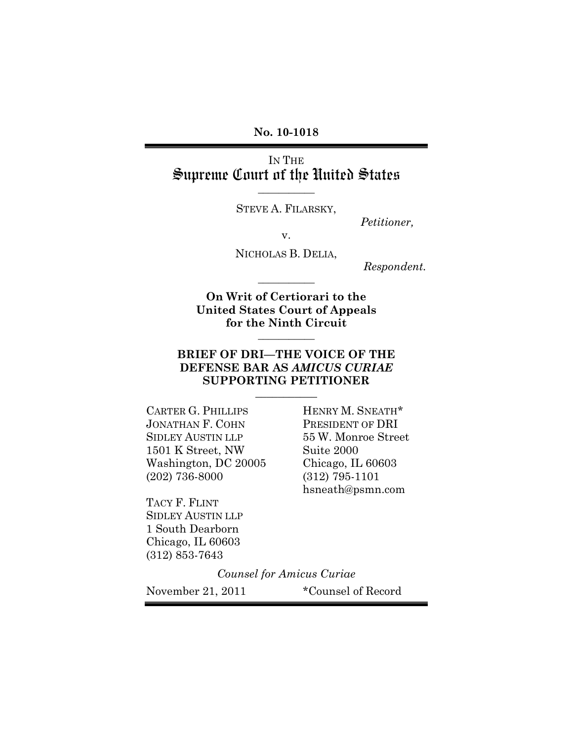**No. 10-1018**

IN THE Supreme Court of the United States

STEVE A. FILARSKY,

**\_\_\_\_\_\_\_\_\_\_\_**

*Petitioner,*

v.

NICHOLAS B. DELIA,

**\_\_\_\_\_\_\_\_\_\_\_**

*Respondent.*

**On Writ of Certiorari to the United States Court of Appeals for the Ninth Circuit**

**\_\_\_\_\_\_\_\_\_\_\_**

### **BRIEF OF DRI—THE VOICE OF THE DEFENSE BAR AS** *AMICUS CURIAE* **SUPPORTING PETITIONER**

**\_\_\_\_\_\_\_\_\_\_\_**

CARTER G. PHILLIPS HENRY M. SNEATH\* JONATHAN F. COHN PRESIDENT OF DRI SIDLEY AUSTIN LLP 55 W. Monroe Street 1501 K Street, NW Suite 2000 Washington, DC 20005 Chicago, IL 60603 (202) 736-8000 (312) 795-1101

TACY F. FLINT SIDLEY AUSTIN LLP 1 South Dearborn Chicago, IL 60603 (312) 853-7643

hsneath@psmn.com

*Counsel for Amicus Curiae*

November 21, 2011 \*Counsel of Record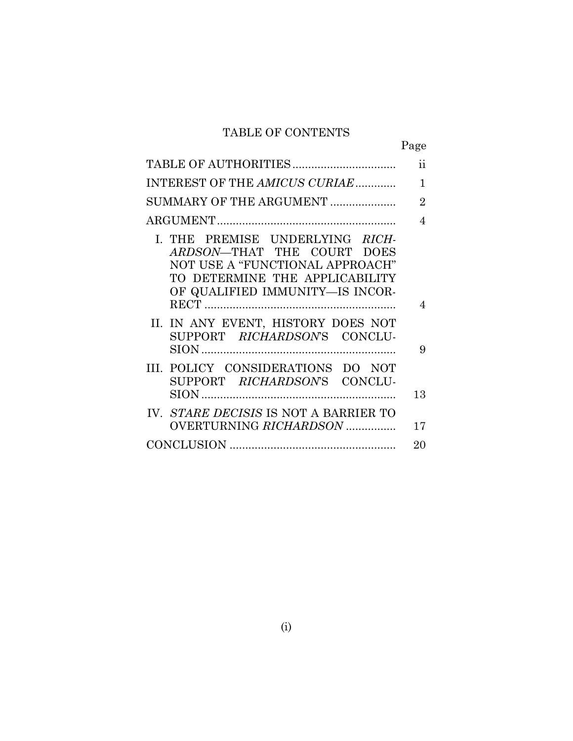## TABLE OF CONTENTS

|                                                                                                                                                                       | Page           |
|-----------------------------------------------------------------------------------------------------------------------------------------------------------------------|----------------|
|                                                                                                                                                                       | ii             |
| INTEREST OF THE AMICUS CURIAE                                                                                                                                         | 1              |
| SUMMARY OF THE ARGUMENT                                                                                                                                               | $\overline{2}$ |
|                                                                                                                                                                       | 4              |
| I. THE PREMISE UNDERLYING RICH-<br>ARDSON-THAT THE COURT DOES<br>NOT USE A "FUNCTIONAL APPROACH"<br>TO DETERMINE THE APPLICABILITY<br>OF QUALIFIED IMMUNITY-IS INCOR- | 4              |
| II. IN ANY EVENT, HISTORY DOES NOT<br>SUPPORT RICHARDSON'S CONCLU-                                                                                                    | 9              |
| III. POLICY CONSIDERATIONS DO NOT<br>SUPPORT <i>RICHARDSON</i> 'S<br>CONCLU-                                                                                          | 13             |
| IV. STARE DECISIS IS NOT A BARRIER TO<br>OVERTURNING RICHARDSON                                                                                                       | 17             |
|                                                                                                                                                                       | 20             |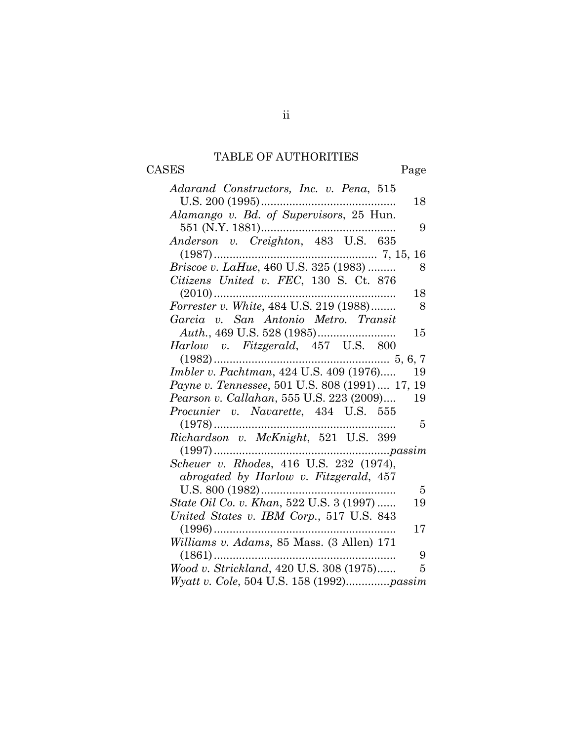## TABLE OF AUTHORITIES

# CASES Page

| Adarand Constructors, Inc. v. Pena, 515                |
|--------------------------------------------------------|
| $U.S. 200(1995)$<br>18                                 |
| Alamango v. Bd. of Supervisors, 25 Hun.                |
| 551 (N.Y. 1881)<br>9                                   |
| Anderson v. Creighton, 483 U.S. 635                    |
|                                                        |
| Briscoe v. LaHue, 460 U.S. 325 (1983)<br>8             |
| Citizens United v. FEC, 130 S. Ct. 876                 |
| $(2010)$<br>18                                         |
| <i>Forrester v. White, 484 U.S. 219 (1988)</i><br>8    |
| Garcia v. San Antonio Metro. Transit                   |
| 15                                                     |
| Harlow v. Fitzgerald, 457 U.S. 800                     |
| $(1982)$                                               |
| Imbler v. Pachtman, 424 U.S. 409 (1976)<br>19          |
| Payne v. Tennessee, 501 U.S. 808 (1991)  17, 19        |
| Pearson v. Callahan, 555 U.S. 223 (2009)<br>19         |
| Procunier v. Navarette, 434 U.S. 555                   |
| $(1978)$<br>5                                          |
| Richardson v. McKnight, 521 U.S. 399                   |
|                                                        |
|                                                        |
| abrogated by Harlow v. Fitzgerald, 457                 |
| $U.S. 800 (1982) \ldots$<br>5                          |
| <i>State Oil Co. v. Khan, 522 U.S. 3 (1997) </i><br>19 |
| United States v. IBM Corp., 517 U.S. 843               |
| $(1996)$<br>17                                         |
| Williams v. Adams, 85 Mass. (3 Allen) 171              |
| $(1861)$<br>9                                          |
| Wood v. Strickland, 420 U.S. 308 (1975)<br>5           |
| Wyatt v. Cole, 504 U.S. 158 (1992)passim               |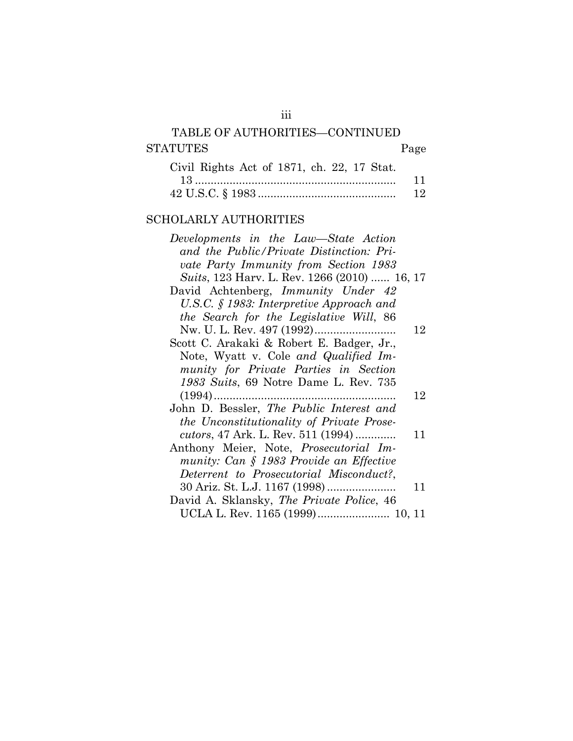## TABLE OF AUTHORITIES—CONTINUED STATUTES Page Civil Rights Act of 1871, ch. 22, 17 Stat.

| $U_1, U_2, U_3, U_4, U_5, U_6, U_7, U_8, U_9, U_{10}$ |  |
|-------------------------------------------------------|--|
|                                                       |  |
|                                                       |  |

## SCHOLARLY AUTHORITIES

| Developments in the Law–State Action              |    |
|---------------------------------------------------|----|
| and the Public/Private Distinction: Pri-          |    |
| vate Party Immunity from Section 1983             |    |
| Suits, 123 Harv. L. Rev. 1266 (2010)  16, 17      |    |
| David Achtenberg, Immunity Under 42               |    |
| U.S.C. $\S$ 1983: Interpretive Approach and       |    |
| the Search for the Legislative Will, 86           |    |
|                                                   | 12 |
| Scott C. Arakaki & Robert E. Badger, Jr.,         |    |
| Note, Wyatt v. Cole and Qualified Im-             |    |
| munity for Private Parties in Section             |    |
| 1983 Suits, 69 Notre Dame L. Rev. 735             |    |
| $(1994)$                                          | 12 |
| John D. Bessler, The Public Interest and          |    |
| the Unconstitutionality of Private Prose-         |    |
| <i>cutors</i> , 47 Ark. L. Rev. 511 (1994)        | 11 |
| Anthony Meier, Note, <i>Prosecutorial Im-</i>     |    |
| munity: Can § 1983 Provide an Effective           |    |
| Deterrent to Prosecutorial Misconduct?,           |    |
| 30 Ariz. St. L.J. 1167 (1998)                     | 11 |
| David A. Sklansky, <i>The Private Police</i> , 46 |    |
| UCLA L. Rev. 1165 (1999) 10, 11                   |    |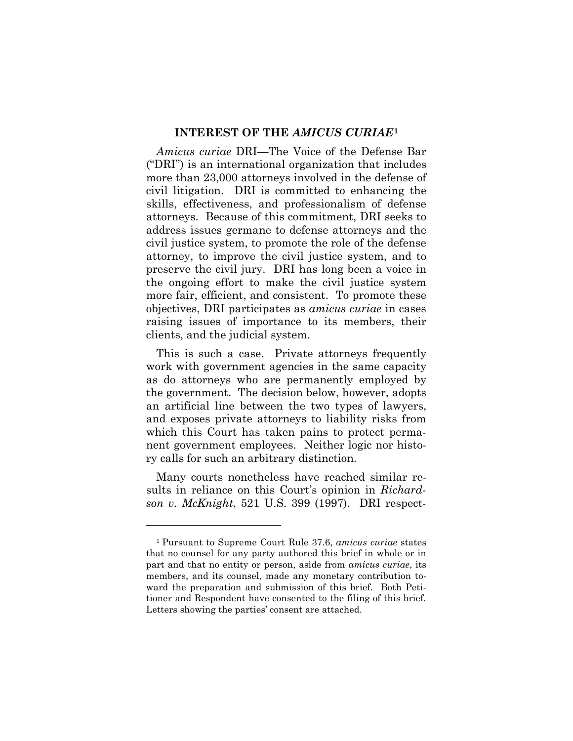#### **INTEREST OF THE** *AMICUS CURIAE***[1](#page-4-0)**

*Amicus curiae* DRI—The Voice of the Defense Bar ("DRI") is an international organization that includes more than 23,000 attorneys involved in the defense of civil litigation. DRI is committed to enhancing the skills, effectiveness, and professionalism of defense attorneys. Because of this commitment, DRI seeks to address issues germane to defense attorneys and the civil justice system, to promote the role of the defense attorney, to improve the civil justice system, and to preserve the civil jury. DRI has long been a voice in the ongoing effort to make the civil justice system more fair, efficient, and consistent. To promote these objectives, DRI participates as *amicus curiae* in cases raising issues of importance to its members, their clients, and the judicial system.

This is such a case. Private attorneys frequently work with government agencies in the same capacity as do attorneys who are permanently employed by the government. The decision below, however, adopts an artificial line between the two types of lawyers, and exposes private attorneys to liability risks from which this Court has taken pains to protect permanent government employees. Neither logic nor history calls for such an arbitrary distinction.

Many courts nonetheless have reached similar results in reliance on this Court's opinion in *Richardson v. McKnight*, 521 U.S. 399 (1997). DRI respect-

 $\overline{a}$ 

<span id="page-4-0"></span><sup>1</sup> Pursuant to Supreme Court Rule 37.6, *amicus curiae* states that no counsel for any party authored this brief in whole or in part and that no entity or person, aside from *amicus curiae*, its members, and its counsel, made any monetary contribution toward the preparation and submission of this brief. Both Petitioner and Respondent have consented to the filing of this brief. Letters showing the parties' consent are attached.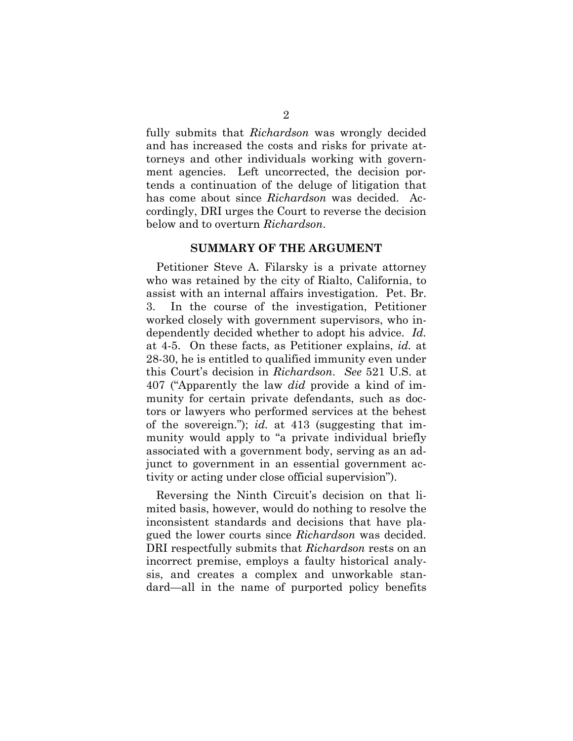fully submits that *Richardson* was wrongly decided and has increased the costs and risks for private attorneys and other individuals working with government agencies. Left uncorrected, the decision portends a continuation of the deluge of litigation that has come about since *Richardson* was decided. Accordingly, DRI urges the Court to reverse the decision below and to overturn *Richardson*.

#### **SUMMARY OF THE ARGUMENT**

Petitioner Steve A. Filarsky is a private attorney who was retained by the city of Rialto, California, to assist with an internal affairs investigation. Pet. Br. 3. In the course of the investigation, Petitioner worked closely with government supervisors, who independently decided whether to adopt his advice. *Id.* at 4-5. On these facts, as Petitioner explains, *id.* at 28-30, he is entitled to qualified immunity even under this Court's decision in *Richardson*. *See* 521 U.S. at 407 ("Apparently the law *did* provide a kind of immunity for certain private defendants, such as doctors or lawyers who performed services at the behest of the sovereign."); *id.* at 413 (suggesting that immunity would apply to "a private individual briefly associated with a government body, serving as an adjunct to government in an essential government activity or acting under close official supervision").

Reversing the Ninth Circuit's decision on that limited basis, however, would do nothing to resolve the inconsistent standards and decisions that have plagued the lower courts since *Richardson* was decided. DRI respectfully submits that *Richardson* rests on an incorrect premise, employs a faulty historical analysis, and creates a complex and unworkable standard—all in the name of purported policy benefits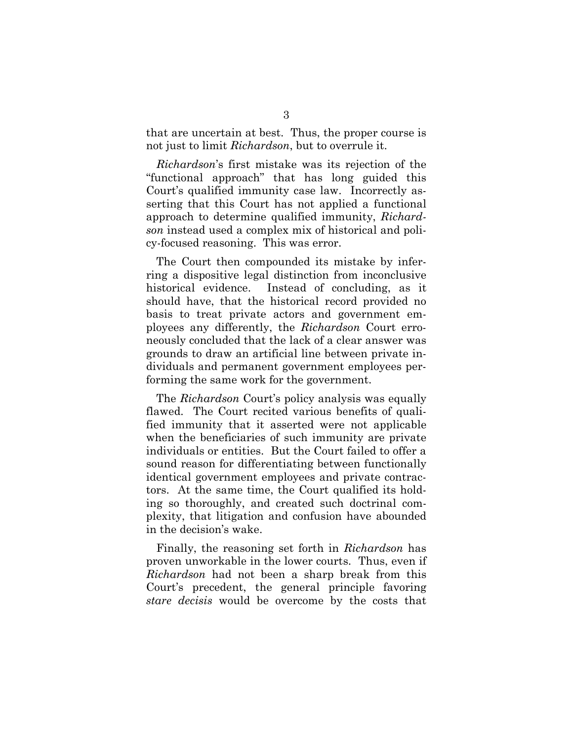that are uncertain at best. Thus, the proper course is not just to limit *Richardson*, but to overrule it.

*Richardson*'s first mistake was its rejection of the "functional approach" that has long guided this Court's qualified immunity case law. Incorrectly asserting that this Court has not applied a functional approach to determine qualified immunity, *Richardson* instead used a complex mix of historical and policy-focused reasoning. This was error.

The Court then compounded its mistake by inferring a dispositive legal distinction from inconclusive historical evidence. Instead of concluding, as it should have, that the historical record provided no basis to treat private actors and government employees any differently, the *Richardson* Court erroneously concluded that the lack of a clear answer was grounds to draw an artificial line between private individuals and permanent government employees performing the same work for the government.

The *Richardson* Court's policy analysis was equally flawed. The Court recited various benefits of qualified immunity that it asserted were not applicable when the beneficiaries of such immunity are private individuals or entities. But the Court failed to offer a sound reason for differentiating between functionally identical government employees and private contractors. At the same time, the Court qualified its holding so thoroughly, and created such doctrinal complexity, that litigation and confusion have abounded in the decision's wake.

Finally, the reasoning set forth in *Richardson* has proven unworkable in the lower courts. Thus, even if *Richardson* had not been a sharp break from this Court's precedent, the general principle favoring *stare decisis* would be overcome by the costs that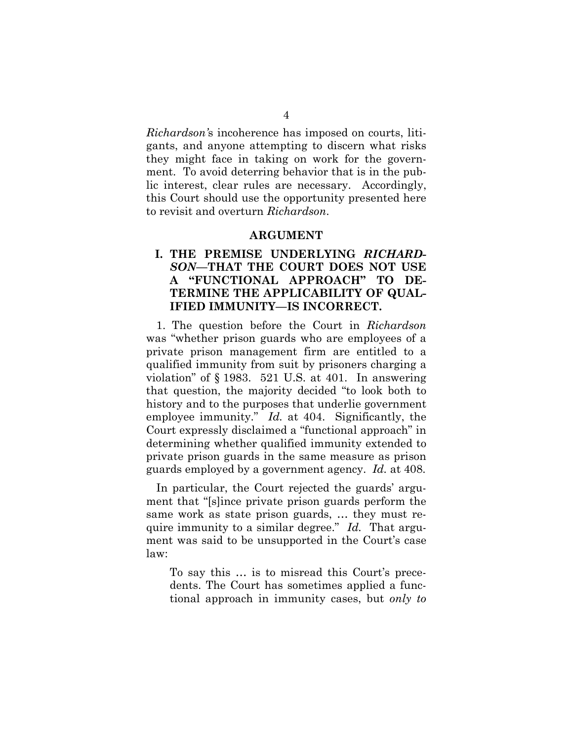*Richardson'*s incoherence has imposed on courts, litigants, and anyone attempting to discern what risks they might face in taking on work for the government. To avoid deterring behavior that is in the public interest, clear rules are necessary. Accordingly, this Court should use the opportunity presented here to revisit and overturn *Richardson*.

#### **ARGUMENT**

### **I. THE PREMISE UNDERLYING** *RICHARD-SON***—THAT THE COURT DOES NOT USE A "FUNCTIONAL APPROACH" TO DE-TERMINE THE APPLICABILITY OF QUAL-IFIED IMMUNITY—IS INCORRECT.**

1. The question before the Court in *Richardson* was "whether prison guards who are employees of a private prison management firm are entitled to a qualified immunity from suit by prisoners charging a violation" of § 1983. 521 U.S. at 401. In answering that question, the majority decided "to look both to history and to the purposes that underlie government employee immunity." *Id.* at 404. Significantly, the Court expressly disclaimed a "functional approach" in determining whether qualified immunity extended to private prison guards in the same measure as prison guards employed by a government agency. *Id.* at 408.

In particular, the Court rejected the guards' argument that "[s]ince private prison guards perform the same work as state prison guards, … they must require immunity to a similar degree." *Id.* That argument was said to be unsupported in the Court's case law:

To say this … is to misread this Court's precedents. The Court has sometimes applied a functional approach in immunity cases, but *only to*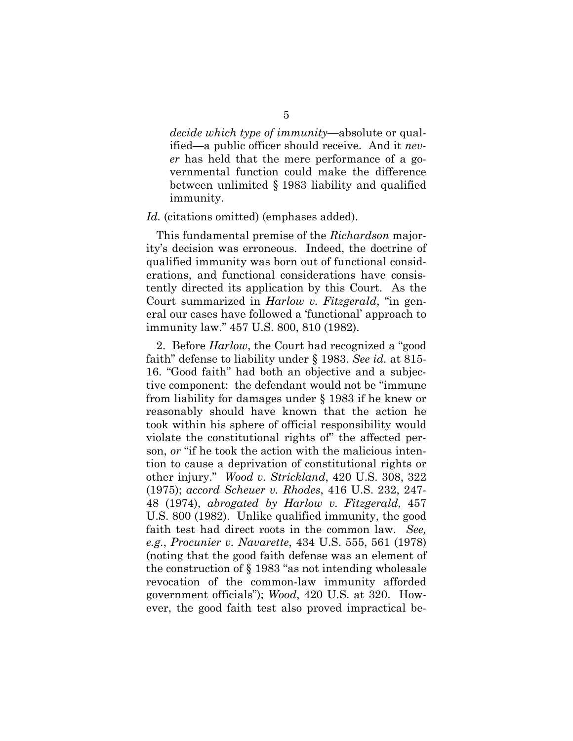*decide which type of immunity*—absolute or qualified—a public officer should receive. And it *never* has held that the mere performance of a governmental function could make the difference between unlimited § 1983 liability and qualified immunity.

#### Id. (citations omitted) (emphases added).

This fundamental premise of the *Richardson* majority's decision was erroneous. Indeed, the doctrine of qualified immunity was born out of functional considerations, and functional considerations have consistently directed its application by this Court. As the Court summarized in *Harlow v. Fitzgerald*, "in general our cases have followed a 'functional' approach to immunity law." 457 U.S. 800, 810 (1982).

2. Before *Harlow*, the Court had recognized a "good faith" defense to liability under § 1983. *See id.* at 815- 16. "Good faith" had both an objective and a subjective component: the defendant would not be "immune from liability for damages under § 1983 if he knew or reasonably should have known that the action he took within his sphere of official responsibility would violate the constitutional rights of" the affected person, *or* "if he took the action with the malicious intention to cause a deprivation of constitutional rights or other injury." *Wood v. Strickland*, 420 U.S. 308, 322 (1975); *accord Scheuer v. Rhodes*, 416 U.S. 232, 247- 48 (1974), *abrogated by Harlow v. Fitzgerald*, 457 U.S. 800 (1982). Unlike qualified immunity, the good faith test had direct roots in the common law. *See, e.g.*, *Procunier v. Navarette*, 434 U.S. 555, 561 (1978) (noting that the good faith defense was an element of the construction of § 1983 "as not intending wholesale revocation of the common-law immunity afforded government officials"); *Wood*, 420 U.S. at 320. However, the good faith test also proved impractical be-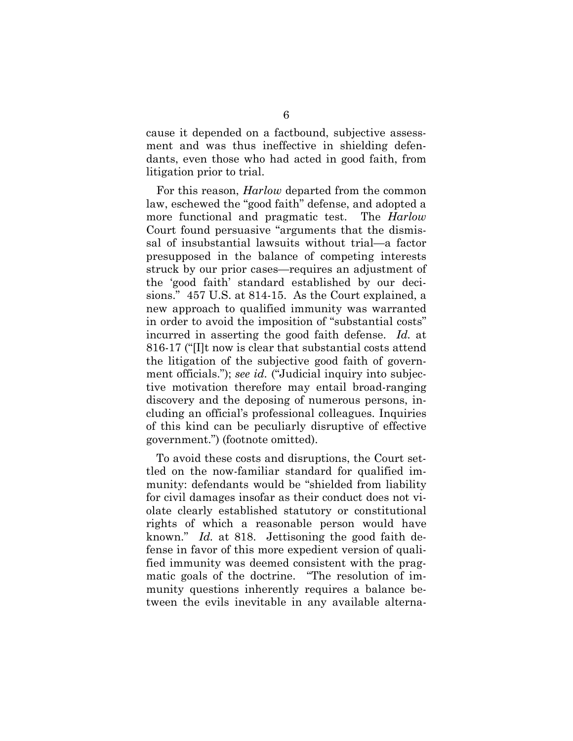cause it depended on a factbound, subjective assessment and was thus ineffective in shielding defendants, even those who had acted in good faith, from litigation prior to trial.

For this reason, *Harlow* departed from the common law, eschewed the "good faith" defense, and adopted a more functional and pragmatic test. The *Harlow*  Court found persuasive "arguments that the dismissal of insubstantial lawsuits without trial—a factor presupposed in the balance of competing interests struck by our prior cases—requires an adjustment of the 'good faith' standard established by our decisions." 457 U.S. at 814-15. As the Court explained, a new approach to qualified immunity was warranted in order to avoid the imposition of "substantial costs" incurred in asserting the good faith defense. *Id.* at 816-17 ("[I]t now is clear that substantial costs attend the litigation of the subjective good faith of government officials."); *see id.* ("Judicial inquiry into subjective motivation therefore may entail broad-ranging discovery and the deposing of numerous persons, including an official's professional colleagues. Inquiries of this kind can be peculiarly disruptive of effective government.") (footnote omitted).

To avoid these costs and disruptions, the Court settled on the now-familiar standard for qualified immunity: defendants would be "shielded from liability for civil damages insofar as their conduct does not violate clearly established statutory or constitutional rights of which a reasonable person would have known." *Id.* at 818. Jettisoning the good faith defense in favor of this more expedient version of qualified immunity was deemed consistent with the pragmatic goals of the doctrine. "The resolution of immunity questions inherently requires a balance between the evils inevitable in any available alterna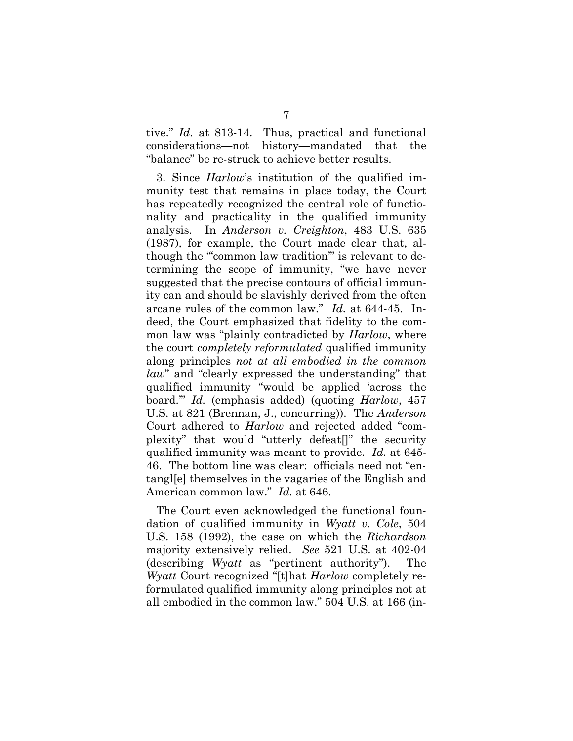tive." *Id.* at 813-14. Thus, practical and functional considerations—not history—mandated that the "balance" be re-struck to achieve better results.

3. Since *Harlow*'s institution of the qualified immunity test that remains in place today, the Court has repeatedly recognized the central role of functionality and practicality in the qualified immunity analysis. In *Anderson v. Creighton*, 483 U.S. 635 (1987), for example, the Court made clear that, although the ""common law tradition" is relevant to determining the scope of immunity, "we have never suggested that the precise contours of official immunity can and should be slavishly derived from the often arcane rules of the common law." *Id.* at 644-45. Indeed, the Court emphasized that fidelity to the common law was "plainly contradicted by *Harlow*, where the court *completely reformulated* qualified immunity along principles *not at all embodied in the common law*" and "clearly expressed the understanding" that qualified immunity "would be applied 'across the board.'" *Id.* (emphasis added) (quoting *Harlow*, 457 U.S. at 821 (Brennan, J., concurring)). The *Anderson* Court adhered to *Harlow* and rejected added "complexity" that would "utterly defeat[]" the security qualified immunity was meant to provide. *Id.* at 645- 46. The bottom line was clear: officials need not "entangl[e] themselves in the vagaries of the English and American common law." *Id.* at 646.

The Court even acknowledged the functional foundation of qualified immunity in *Wyatt v. Cole*, 504 U.S. 158 (1992), the case on which the *Richardson*  majority extensively relied. *See* 521 U.S. at 402-04 (describing *Wyatt* as "pertinent authority"). The *Wyatt* Court recognized "[t]hat *Harlow* completely reformulated qualified immunity along principles not at all embodied in the common law." 504 U.S. at 166 (in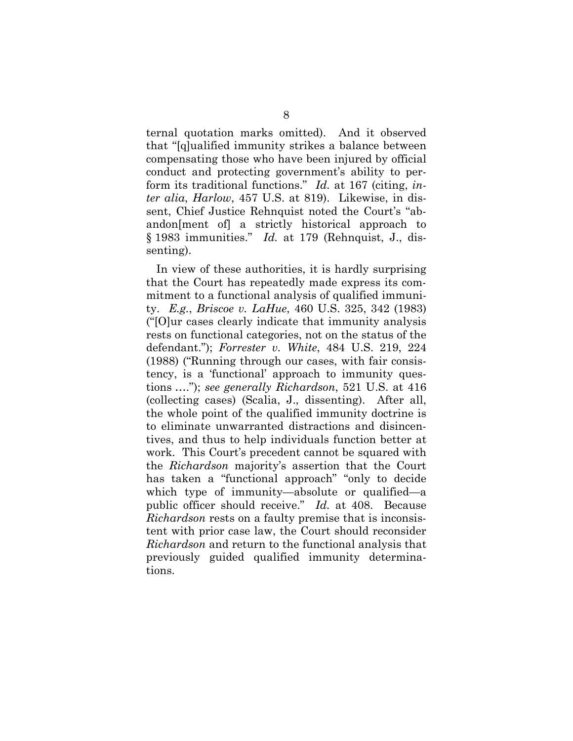ternal quotation marks omitted). And it observed that "[q]ualified immunity strikes a balance between compensating those who have been injured by official conduct and protecting government's ability to perform its traditional functions." *Id.* at 167 (citing, *inter alia*, *Harlow*, 457 U.S. at 819). Likewise, in dissent, Chief Justice Rehnquist noted the Court's "abandon[ment of] a strictly historical approach to § 1983 immunities." *Id.* at 179 (Rehnquist, J., dissenting).

In view of these authorities, it is hardly surprising that the Court has repeatedly made express its commitment to a functional analysis of qualified immunity. *E.g.*, *Briscoe v. LaHue*, 460 U.S. 325, 342 (1983) ("[O]ur cases clearly indicate that immunity analysis rests on functional categories, not on the status of the defendant."); *Forrester v. White*, 484 U.S. 219, 224 (1988) ("Running through our cases, with fair consistency, is a 'functional' approach to immunity questions …."); *see generally Richardson*, 521 U.S. at 416 (collecting cases) (Scalia, J., dissenting). After all, the whole point of the qualified immunity doctrine is to eliminate unwarranted distractions and disincentives, and thus to help individuals function better at work. This Court's precedent cannot be squared with the *Richardson* majority's assertion that the Court has taken a "functional approach" "only to decide which type of immunity—absolute or qualified—a public officer should receive." *Id.* at 408. Because *Richardson* rests on a faulty premise that is inconsistent with prior case law, the Court should reconsider *Richardson* and return to the functional analysis that previously guided qualified immunity determinations.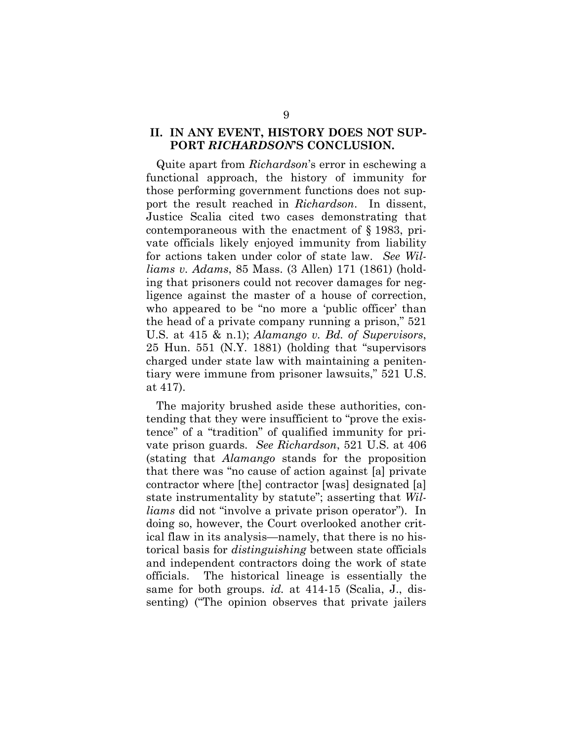### **II. IN ANY EVENT, HISTORY DOES NOT SUP-PORT** *RICHARDSON***'S CONCLUSION.**

Quite apart from *Richardson*'s error in eschewing a functional approach, the history of immunity for those performing government functions does not support the result reached in *Richardson*. In dissent, Justice Scalia cited two cases demonstrating that contemporaneous with the enactment of § 1983, private officials likely enjoyed immunity from liability for actions taken under color of state law. *See Williams v. Adams*, 85 Mass. (3 Allen) 171 (1861) (holding that prisoners could not recover damages for negligence against the master of a house of correction, who appeared to be "no more a 'public officer' than the head of a private company running a prison," 521 U.S. at 415 & n.1); *Alamango v. Bd. of Supervisors*, 25 Hun. 551 (N.Y. 1881) (holding that "supervisors charged under state law with maintaining a penitentiary were immune from prisoner lawsuits," 521 U.S. at 417).

The majority brushed aside these authorities, contending that they were insufficient to "prove the existence" of a "tradition" of qualified immunity for private prison guards. *See Richardson*, 521 U.S. at 406 (stating that *Alamango* stands for the proposition that there was "no cause of action against [a] private contractor where [the] contractor [was] designated [a] state instrumentality by statute"; asserting that *Williams* did not "involve a private prison operator"). In doing so, however, the Court overlooked another critical flaw in its analysis—namely, that there is no historical basis for *distinguishing* between state officials and independent contractors doing the work of state officials. The historical lineage is essentially the same for both groups. *id.* at 414-15 (Scalia, J., dissenting) ("The opinion observes that private jailers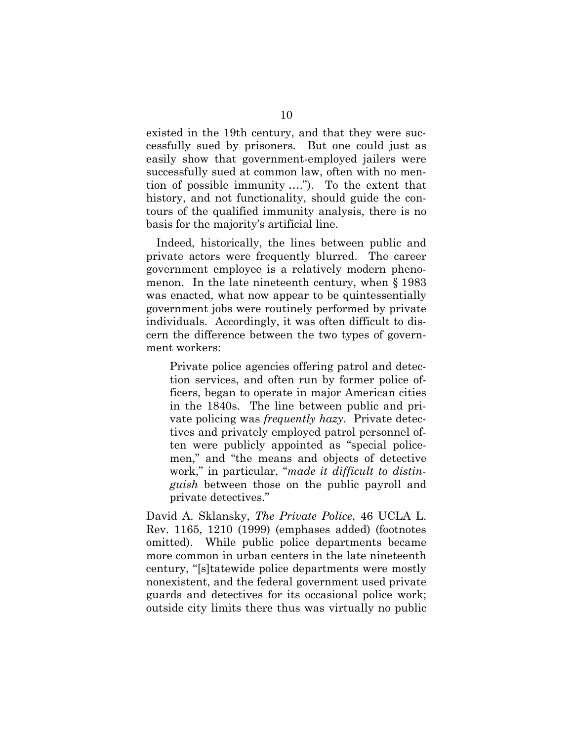existed in the 19th century, and that they were successfully sued by prisoners. But one could just as easily show that government-employed jailers were successfully sued at common law, often with no mention of possible immunity …."). To the extent that history, and not functionality, should guide the contours of the qualified immunity analysis, there is no basis for the majority's artificial line.

Indeed, historically, the lines between public and private actors were frequently blurred. The career government employee is a relatively modern phenomenon. In the late nineteenth century, when § 1983 was enacted, what now appear to be quintessentially government jobs were routinely performed by private individuals. Accordingly, it was often difficult to discern the difference between the two types of government workers:

Private police agencies offering patrol and detection services, and often run by former police officers, began to operate in major American cities in the 1840s. The line between public and private policing was *frequently hazy*. Private detectives and privately employed patrol personnel often were publicly appointed as "special policemen," and "the means and objects of detective work," in particular, "*made it difficult to distinguish* between those on the public payroll and private detectives."

David A. Sklansky, *The Private Police*, 46 UCLA L. Rev. 1165, 1210 (1999) (emphases added) (footnotes omitted). While public police departments became more common in urban centers in the late nineteenth century, "[s]tatewide police departments were mostly nonexistent, and the federal government used private guards and detectives for its occasional police work; outside city limits there thus was virtually no public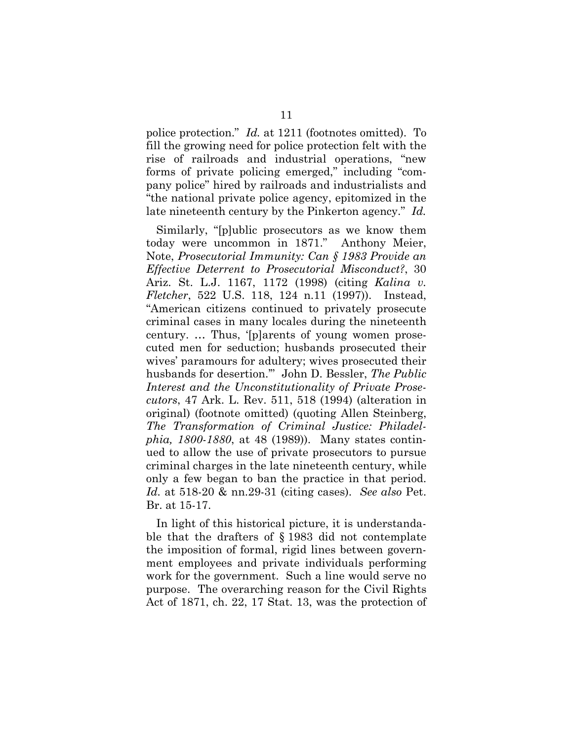police protection." *Id.* at 1211 (footnotes omitted). To fill the growing need for police protection felt with the rise of railroads and industrial operations, "new forms of private policing emerged," including "company police" hired by railroads and industrialists and "the national private police agency, epitomized in the late nineteenth century by the Pinkerton agency." *Id.*

Similarly, "[p]ublic prosecutors as we know them today were uncommon in 1871." Anthony Meier, Note, *Prosecutorial Immunity: Can § 1983 Provide an Effective Deterrent to Prosecutorial Misconduct?*, 30 Ariz. St. L.J. 1167, 1172 (1998) (citing *Kalina v. Fletcher*, 522 U.S. 118, 124 n.11 (1997)). Instead, "American citizens continued to privately prosecute criminal cases in many locales during the nineteenth century. … Thus, '[p]arents of young women prosecuted men for seduction; husbands prosecuted their wives' paramours for adultery; wives prosecuted their husbands for desertion.'" John D. Bessler, *The Public Interest and the Unconstitutionality of Private Prosecutors*, 47 Ark. L. Rev. 511, 518 (1994) (alteration in original) (footnote omitted) (quoting Allen Steinberg, *The Transformation of Criminal Justice: Philadelphia, 1800-1880*, at 48 (1989)). Many states continued to allow the use of private prosecutors to pursue criminal charges in the late nineteenth century, while only a few began to ban the practice in that period. *Id.* at 518-20 & nn.29-31 (citing cases). *See also* Pet. Br. at 15-17.

In light of this historical picture, it is understandable that the drafters of § 1983 did not contemplate the imposition of formal, rigid lines between government employees and private individuals performing work for the government. Such a line would serve no purpose. The overarching reason for the Civil Rights Act of 1871, ch. 22, 17 Stat. 13, was the protection of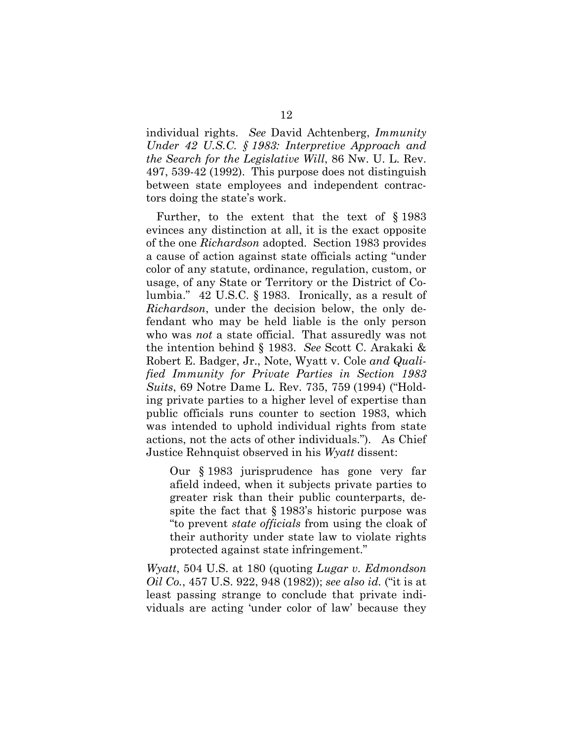individual rights. *See* David Achtenberg, *Immunity Under 42 U.S.C. § 1983: Interpretive Approach and the Search for the Legislative Will*, 86 Nw. U. L. Rev. 497, 539-42 (1992). This purpose does not distinguish between state employees and independent contractors doing the state's work.

Further, to the extent that the text of § 1983 evinces any distinction at all, it is the exact opposite of the one *Richardson* adopted. Section 1983 provides a cause of action against state officials acting "under color of any statute, ordinance, regulation, custom, or usage, of any State or Territory or the District of Columbia." 42 U.S.C. § 1983. Ironically, as a result of *Richardson*, under the decision below, the only defendant who may be held liable is the only person who was *not* a state official. That assuredly was not the intention behind § 1983. *See* Scott C. Arakaki & Robert E. Badger, Jr., Note, Wyatt v. Cole *and Qualified Immunity for Private Parties in Section 1983 Suits*, 69 Notre Dame L. Rev. 735, 759 (1994) ("Holding private parties to a higher level of expertise than public officials runs counter to section 1983, which was intended to uphold individual rights from state actions, not the acts of other individuals."). As Chief Justice Rehnquist observed in his *Wyatt* dissent:

Our § 1983 jurisprudence has gone very far afield indeed, when it subjects private parties to greater risk than their public counterparts, despite the fact that § 1983's historic purpose was "to prevent *state officials* from using the cloak of their authority under state law to violate rights protected against state infringement."

*Wyatt*, 504 U.S. at 180 (quoting *Lugar v. Edmondson Oil Co.*, 457 U.S. 922, 948 (1982)); *see also id.* ("it is at least passing strange to conclude that private individuals are acting 'under color of law' because they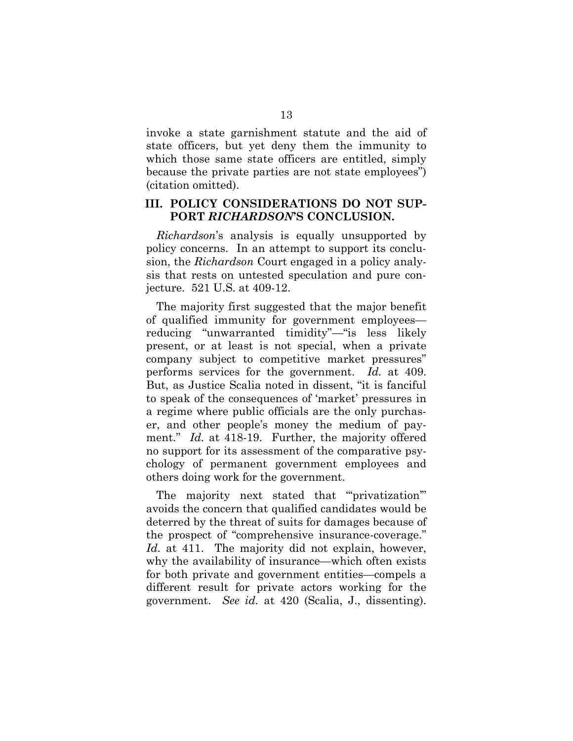invoke a state garnishment statute and the aid of state officers, but yet deny them the immunity to which those same state officers are entitled, simply because the private parties are not state employees") (citation omitted).

#### **III. POLICY CONSIDERATIONS DO NOT SUP-PORT** *RICHARDSON***'S CONCLUSION.**

*Richardson*'s analysis is equally unsupported by policy concerns. In an attempt to support its conclusion, the *Richardson* Court engaged in a policy analysis that rests on untested speculation and pure conjecture. 521 U.S. at 409-12.

The majority first suggested that the major benefit of qualified immunity for government employees reducing "unwarranted timidity"—"is less likely present, or at least is not special, when a private company subject to competitive market pressures" performs services for the government. *Id.* at 409. But, as Justice Scalia noted in dissent, "it is fanciful to speak of the consequences of 'market' pressures in a regime where public officials are the only purchaser, and other people's money the medium of payment." *Id.* at 418-19. Further, the majority offered no support for its assessment of the comparative psychology of permanent government employees and others doing work for the government.

The majority next stated that ""privatization" avoids the concern that qualified candidates would be deterred by the threat of suits for damages because of the prospect of "comprehensive insurance-coverage." *Id.* at 411. The majority did not explain, however, why the availability of insurance—which often exists for both private and government entities—compels a different result for private actors working for the government. *See id.* at 420 (Scalia, J., dissenting).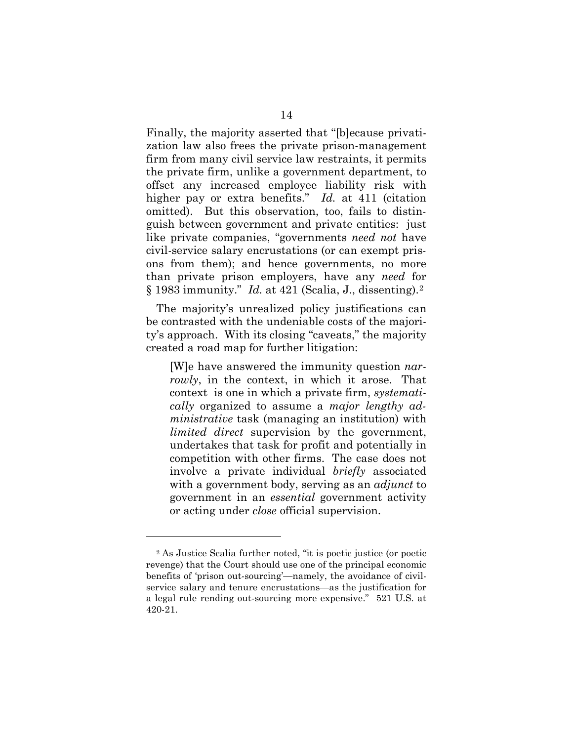Finally, the majority asserted that "[b]ecause privatization law also frees the private prison-management firm from many civil service law restraints, it permits the private firm, unlike a government department, to offset any increased employee liability risk with higher pay or extra benefits." *Id.* at 411 (citation omitted). But this observation, too, fails to distinguish between government and private entities: just like private companies, "governments *need not* have civil-service salary encrustations (or can exempt prisons from them); and hence governments, no more than private prison employers, have any *need* for § 1983 immunity." *Id.* at 421 (Scalia, J., dissenting).[2](#page-17-0)

The majority's unrealized policy justifications can be contrasted with the undeniable costs of the majority's approach. With its closing "caveats," the majority created a road map for further litigation:

[W]e have answered the immunity question *narrowly*, in the context, in which it arose. That context is one in which a private firm, *systematically* organized to assume a *major lengthy administrative* task (managing an institution) with *limited direct* supervision by the government, undertakes that task for profit and potentially in competition with other firms. The case does not involve a private individual *briefly* associated with a government body, serving as an *adjunct* to government in an *essential* government activity or acting under *close* official supervision.

 $\overline{a}$ 

<span id="page-17-0"></span><sup>2</sup> As Justice Scalia further noted, "it is poetic justice (or poetic revenge) that the Court should use one of the principal economic benefits of 'prison out-sourcing'—namely, the avoidance of civilservice salary and tenure encrustations—as the justification for a legal rule rending out-sourcing more expensive." 521 U.S. at 420-21.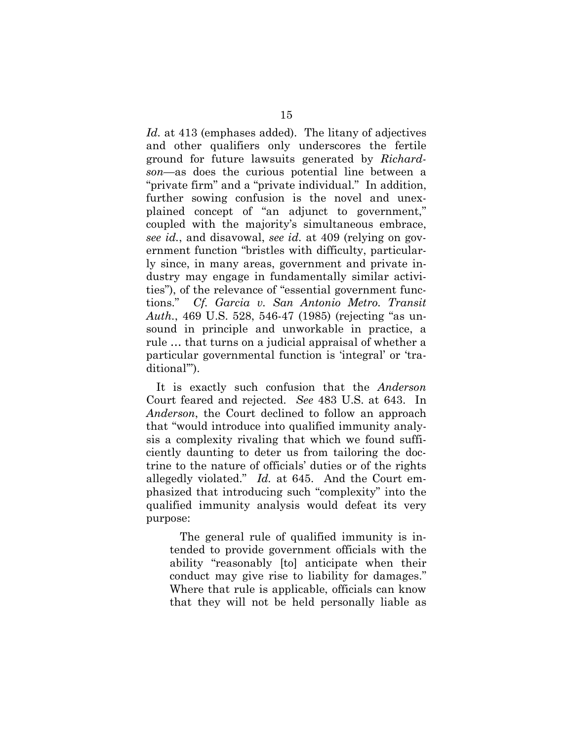*Id.* at 413 (emphases added). The litany of adjectives and other qualifiers only underscores the fertile ground for future lawsuits generated by *Richardson*—as does the curious potential line between a "private firm" and a "private individual." In addition, further sowing confusion is the novel and unexplained concept of "an adjunct to government," coupled with the majority's simultaneous embrace, *see id.*, and disavowal, *see id.* at 409 (relying on government function "bristles with difficulty, particularly since, in many areas, government and private industry may engage in fundamentally similar activities"), of the relevance of "essential government functions." *Cf. Garcia v. San Antonio Metro. Transit Auth.*, 469 U.S. 528, 546-47 (1985) (rejecting "as unsound in principle and unworkable in practice, a rule … that turns on a judicial appraisal of whether a particular governmental function is 'integral' or 'traditional'").

It is exactly such confusion that the *Anderson*  Court feared and rejected. *See* 483 U.S. at 643. In *Anderson*, the Court declined to follow an approach that "would introduce into qualified immunity analysis a complexity rivaling that which we found sufficiently daunting to deter us from tailoring the doctrine to the nature of officials' duties or of the rights allegedly violated." *Id.* at 645. And the Court emphasized that introducing such "complexity" into the qualified immunity analysis would defeat its very purpose:

The general rule of qualified immunity is intended to provide government officials with the ability "reasonably [to] anticipate when their conduct may give rise to liability for damages." Where that rule is applicable, officials can know that they will not be held personally liable as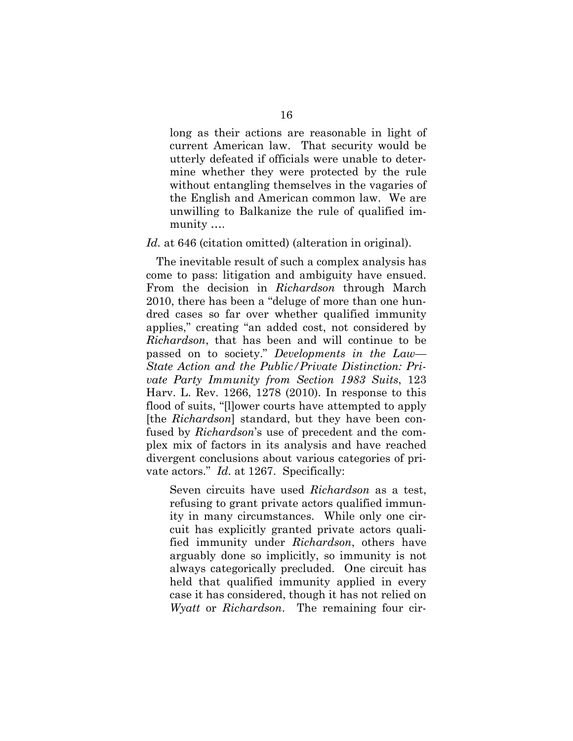long as their actions are reasonable in light of current American law. That security would be utterly defeated if officials were unable to determine whether they were protected by the rule without entangling themselves in the vagaries of the English and American common law. We are unwilling to Balkanize the rule of qualified immunity ….

#### *Id.* at 646 (citation omitted) (alteration in original).

The inevitable result of such a complex analysis has come to pass: litigation and ambiguity have ensued. From the decision in *Richardson* through March 2010, there has been a "deluge of more than one hundred cases so far over whether qualified immunity applies," creating "an added cost, not considered by *Richardson*, that has been and will continue to be passed on to society." *Developments in the Law— State Action and the Public/Private Distinction: Private Party Immunity from Section 1983 Suits*, 123 Harv. L. Rev. 1266, 1278 (2010). In response to this flood of suits, "[l]ower courts have attempted to apply [the *Richardson*] standard, but they have been confused by *Richardson*'s use of precedent and the complex mix of factors in its analysis and have reached divergent conclusions about various categories of private actors." *Id.* at 1267. Specifically:

Seven circuits have used *Richardson* as a test, refusing to grant private actors qualified immunity in many circumstances. While only one circuit has explicitly granted private actors qualified immunity under *Richardson*, others have arguably done so implicitly, so immunity is not always categorically precluded. One circuit has held that qualified immunity applied in every case it has considered, though it has not relied on *Wyatt* or *Richardson*. The remaining four cir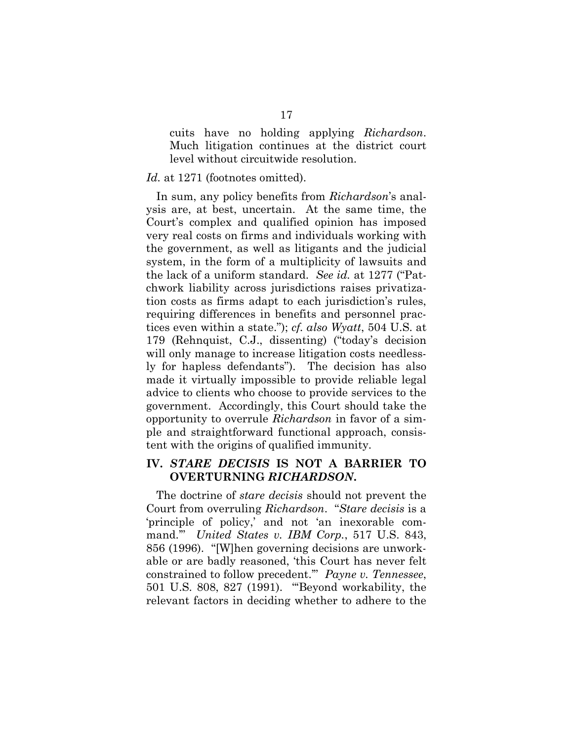cuits have no holding applying *Richardson*. Much litigation continues at the district court level without circuitwide resolution.

#### Id. at 1271 (footnotes omitted).

In sum, any policy benefits from *Richardson*'s analysis are, at best, uncertain. At the same time, the Court's complex and qualified opinion has imposed very real costs on firms and individuals working with the government, as well as litigants and the judicial system, in the form of a multiplicity of lawsuits and the lack of a uniform standard. *See id.* at 1277 ("Patchwork liability across jurisdictions raises privatization costs as firms adapt to each jurisdiction's rules, requiring differences in benefits and personnel practices even within a state."); *cf. also Wyatt*, 504 U.S. at 179 (Rehnquist, C.J., dissenting) ("today's decision will only manage to increase litigation costs needlessly for hapless defendants"). The decision has also made it virtually impossible to provide reliable legal advice to clients who choose to provide services to the government. Accordingly, this Court should take the opportunity to overrule *Richardson* in favor of a simple and straightforward functional approach, consistent with the origins of qualified immunity.

### **IV.** *STARE DECISIS* **IS NOT A BARRIER TO OVERTURNING** *RICHARDSON***.**

The doctrine of *stare decisis* should not prevent the Court from overruling *Richardson*. "*Stare decisis* is a 'principle of policy,' and not 'an inexorable command.'" *United States v. IBM Corp.*, 517 U.S. 843, 856 (1996). "[W]hen governing decisions are unworkable or are badly reasoned, 'this Court has never felt constrained to follow precedent.'" *Payne v. Tennessee*, 501 U.S. 808, 827 (1991). "'Beyond workability, the relevant factors in deciding whether to adhere to the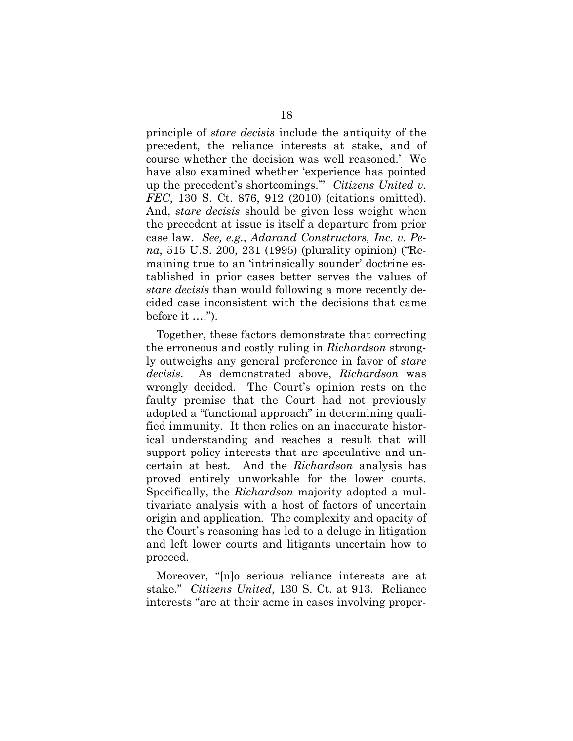principle of *stare decisis* include the antiquity of the precedent, the reliance interests at stake, and of course whether the decision was well reasoned.' We have also examined whether 'experience has pointed up the precedent's shortcomings.'" *Citizens United v. FEC*, 130 S. Ct. 876, 912 (2010) (citations omitted). And, *stare decisis* should be given less weight when the precedent at issue is itself a departure from prior case law. *See, e.g.*, *Adarand Constructors, Inc. v. Pena*, 515 U.S. 200, 231 (1995) (plurality opinion) ("Remaining true to an 'intrinsically sounder' doctrine established in prior cases better serves the values of *stare decisis* than would following a more recently decided case inconsistent with the decisions that came before it ….").

Together, these factors demonstrate that correcting the erroneous and costly ruling in *Richardson* strongly outweighs any general preference in favor of *stare decisis*. As demonstrated above, *Richardson* was wrongly decided. The Court's opinion rests on the faulty premise that the Court had not previously adopted a "functional approach" in determining qualified immunity. It then relies on an inaccurate historical understanding and reaches a result that will support policy interests that are speculative and uncertain at best. And the *Richardson* analysis has proved entirely unworkable for the lower courts. Specifically, the *Richardson* majority adopted a multivariate analysis with a host of factors of uncertain origin and application. The complexity and opacity of the Court's reasoning has led to a deluge in litigation and left lower courts and litigants uncertain how to proceed.

Moreover, "[n]o serious reliance interests are at stake." *Citizens United*, 130 S. Ct. at 913. Reliance interests "are at their acme in cases involving proper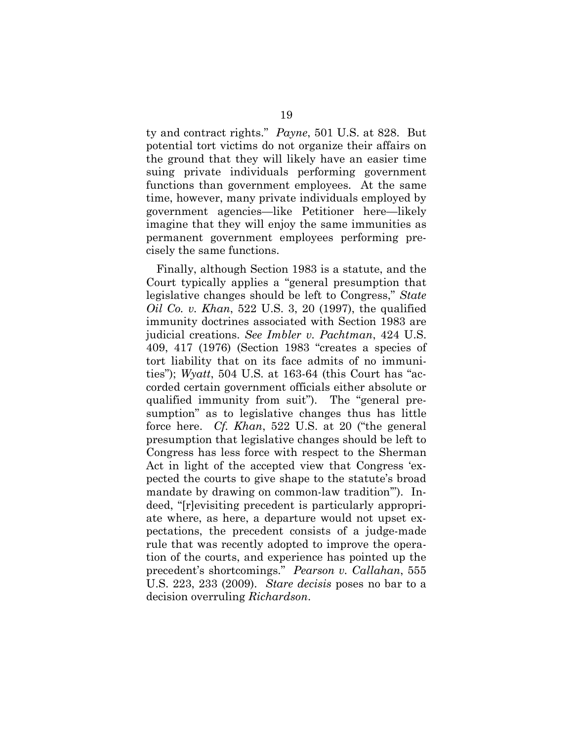ty and contract rights." *Payne*, 501 U.S. at 828. But potential tort victims do not organize their affairs on the ground that they will likely have an easier time suing private individuals performing government functions than government employees. At the same time, however, many private individuals employed by government agencies—like Petitioner here—likely imagine that they will enjoy the same immunities as permanent government employees performing precisely the same functions.

Finally, although Section 1983 is a statute, and the Court typically applies a "general presumption that legislative changes should be left to Congress," *State Oil Co. v. Khan*, 522 U.S. 3, 20 (1997), the qualified immunity doctrines associated with Section 1983 are judicial creations. *See Imbler v. Pachtman*, 424 U.S. 409, 417 (1976) (Section 1983 "creates a species of tort liability that on its face admits of no immunities"); *Wyatt*, 504 U.S. at 163-64 (this Court has "accorded certain government officials either absolute or qualified immunity from suit"). The "general presumption" as to legislative changes thus has little force here. *Cf. Khan*, 522 U.S. at 20 ("the general presumption that legislative changes should be left to Congress has less force with respect to the Sherman Act in light of the accepted view that Congress 'expected the courts to give shape to the statute's broad mandate by drawing on common-law tradition'"). Indeed, "[r]evisiting precedent is particularly appropriate where, as here, a departure would not upset expectations, the precedent consists of a judge-made rule that was recently adopted to improve the operation of the courts, and experience has pointed up the precedent's shortcomings." *Pearson v. Callahan*, 555 U.S. 223, 233 (2009). *Stare decisis* poses no bar to a decision overruling *Richardson*.